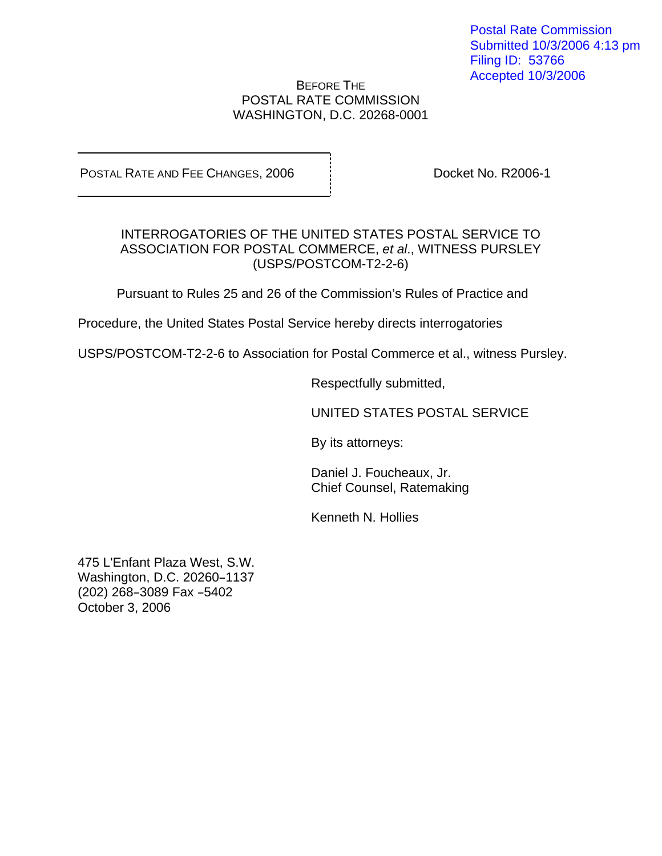Postal Rate Commission Submitted 10/3/2006 4:13 pm Filing ID: 53766 Accepted 10/3/2006

## BEFORE THE POSTAL RATE COMMISSION WASHINGTON, D.C. 20268-0001

POSTAL RATE AND FEE CHANGES, 2006 | Docket No. R2006-1

## INTERROGATORIES OF THE UNITED STATES POSTAL SERVICE TO ASSOCIATION FOR POSTAL COMMERCE, et al., WITNESS PURSLEY (USPS/POSTCOM-T2-2-6)

Pursuant to Rules 25 and 26 of the Commission's Rules of Practice and

Procedure, the United States Postal Service hereby directs interrogatories

USPS/POSTCOM-T2-2-6 to Association for Postal Commerce et al., witness Pursley.

Respectfully submitted,

UNITED STATES POSTAL SERVICE

By its attorneys:

Daniel J. Foucheaux, Jr. Chief Counsel, Ratemaking

Kenneth N. Hollies

475 L'Enfant Plaza West, S.W. Washington, D.C. 20260-1137 (202) 268-3089 Fax -5402 October 3, 2006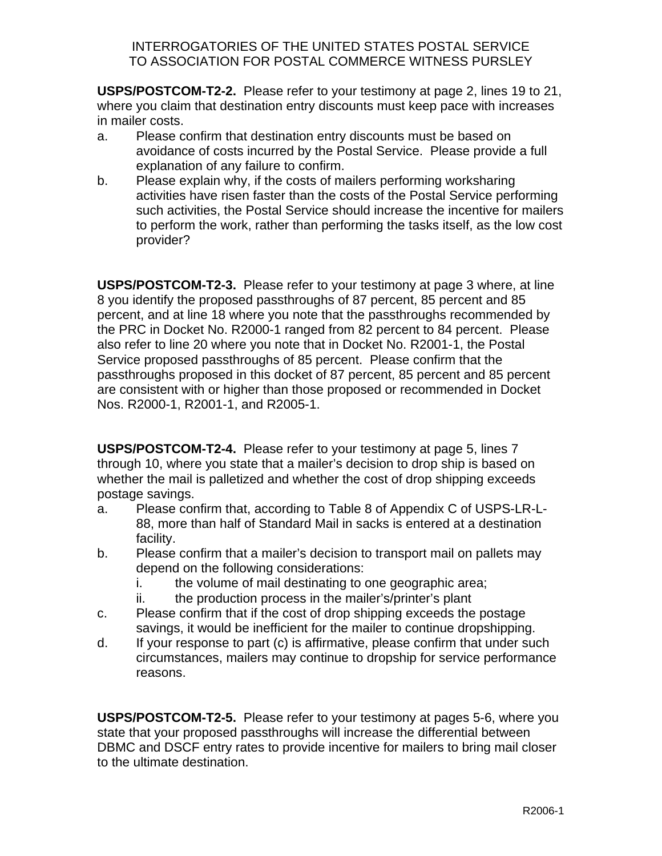## INTERROGATORIES OF THE UNITED STATES POSTAL SERVICE TO ASSOCIATION FOR POSTAL COMMERCE WITNESS PURSLEY

**USPS/POSTCOM-T2-2.** Please refer to your testimony at page 2, lines 19 to 21, where you claim that destination entry discounts must keep pace with increases in mailer costs.

- a. Please confirm that destination entry discounts must be based on avoidance of costs incurred by the Postal Service. Please provide a full explanation of any failure to confirm.
- b. Please explain why, if the costs of mailers performing worksharing activities have risen faster than the costs of the Postal Service performing such activities, the Postal Service should increase the incentive for mailers to perform the work, rather than performing the tasks itself, as the low cost provider?

**USPS/POSTCOM-T2-3.** Please refer to your testimony at page 3 where, at line 8 you identify the proposed passthroughs of 87 percent, 85 percent and 85 percent, and at line 18 where you note that the passthroughs recommended by the PRC in Docket No. R2000-1 ranged from 82 percent to 84 percent. Please also refer to line 20 where you note that in Docket No. R2001-1, the Postal Service proposed passthroughs of 85 percent. Please confirm that the passthroughs proposed in this docket of 87 percent, 85 percent and 85 percent are consistent with or higher than those proposed or recommended in Docket Nos. R2000-1, R2001-1, and R2005-1.

**USPS/POSTCOM-T2-4.** Please refer to your testimony at page 5, lines 7 through 10, where you state that a mailer's decision to drop ship is based on whether the mail is palletized and whether the cost of drop shipping exceeds postage savings.

- a. Please confirm that, according to Table 8 of Appendix C of USPS-LR-L-88, more than half of Standard Mail in sacks is entered at a destination facility.
- b. Please confirm that a mailer's decision to transport mail on pallets may depend on the following considerations:
	- i. the volume of mail destinating to one geographic area;
	- ii. the production process in the mailer's/printer's plant
- c. Please confirm that if the cost of drop shipping exceeds the postage savings, it would be inefficient for the mailer to continue dropshipping.
- d. If your response to part (c) is affirmative, please confirm that under such circumstances, mailers may continue to dropship for service performance reasons.

**USPS/POSTCOM-T2-5.** Please refer to your testimony at pages 5-6, where you state that your proposed passthroughs will increase the differential between DBMC and DSCF entry rates to provide incentive for mailers to bring mail closer to the ultimate destination.